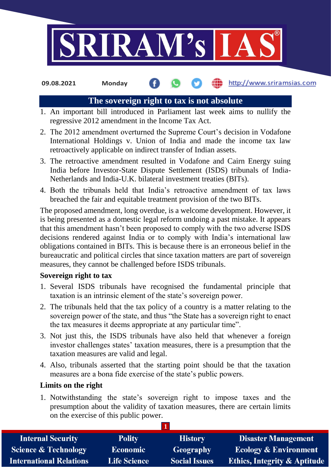

**09.08.2021 Monday**

## http://www.sriramsias.com

### **The sovereign right to tax is not absolute**

- 1. An important bill introduced in Parliament last week aims to nullify the regressive 2012 amendment in the Income Tax Act.
- 2. The 2012 amendment overturned the Supreme Court's decision in Vodafone International Holdings v. Union of India and made the income tax law retroactively applicable on indirect transfer of Indian assets.
- 3. The retroactive amendment resulted in Vodafone and Cairn Energy suing India before Investor-State Dispute Settlement (ISDS) tribunals of India-Netherlands and India-U.K. bilateral investment treaties (BITs).
- 4. Both the tribunals held that India's retroactive amendment of tax laws breached the fair and equitable treatment provision of the two BITs.

The proposed amendment, long overdue, is a welcome development. However, it is being presented as a domestic legal reform undoing a past mistake. It appears that this amendment hasn't been proposed to comply with the two adverse ISDS decisions rendered against India or to comply with India's international law obligations contained in BITs. This is because there is an erroneous belief in the bureaucratic and political circles that since taxation matters are part of sovereign measures, they cannot be challenged before ISDS tribunals.

### **Sovereign right to tax**

- 1. Several ISDS tribunals have recognised the fundamental principle that taxation is an intrinsic element of the state's sovereign power.
- 2. The tribunals held that the tax policy of a country is a matter relating to the sovereign power of the state, and thus "the State has a sovereign right to enact the tax measures it deems appropriate at any particular time".
- 3. Not just this, the ISDS tribunals have also held that whenever a foreign investor challenges states' taxation measures, there is a presumption that the taxation measures are valid and legal.
- 4. Also, tribunals asserted that the starting point should be that the taxation measures are a bona fide exercise of the state's public powers.

### **Limits on the right**

1. Notwithstanding the state's sovereign right to impose taxes and the presumption about the validity of taxation measures, there are certain limits on the exercise of this public power.

| <b>Internal Security</b>        | <b>Polity</b>       | <b>History</b>       | <b>Disaster Management</b>              |
|---------------------------------|---------------------|----------------------|-----------------------------------------|
| <b>Science &amp; Technology</b> | <b>Economic</b>     | Geography            | <b>Ecology &amp; Environment</b>        |
| <b>International Relations</b>  | <b>Life Science</b> | <b>Social Issues</b> | <b>Ethics, Integrity &amp; Aptitude</b> |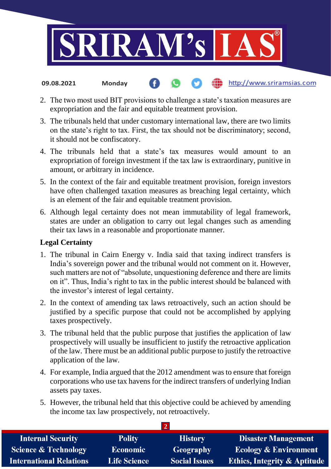

2. The two most used BIT provisions to challenge a state's taxation measures are

**fin** http://www.sriramsias.com

- expropriation and the fair and equitable treatment provision. 3. The tribunals held that under customary international law, there are two limits
- on the state's right to tax. First, the tax should not be discriminatory; second, it should not be confiscatory.
- 4. The tribunals held that a state's tax measures would amount to an expropriation of foreign investment if the tax law is extraordinary, punitive in amount, or arbitrary in incidence.
- 5. In the context of the fair and equitable treatment provision, foreign investors have often challenged taxation measures as breaching legal certainty, which is an element of the fair and equitable treatment provision.
- 6. Although legal certainty does not mean immutability of legal framework, states are under an obligation to carry out legal changes such as amending their tax laws in a reasonable and proportionate manner.

# **Legal Certainty**

**09.08.2021 Monday**

- 1. The tribunal in Cairn Energy v. India said that taxing indirect transfers is India's sovereign power and the tribunal would not comment on it. However, such matters are not of "absolute, unquestioning deference and there are limits on it". Thus, India's right to tax in the public interest should be balanced with the investor's interest of legal certainty.
- 2. In the context of amending tax laws retroactively, such an action should be justified by a specific purpose that could not be accomplished by applying taxes prospectively.
- 3. The tribunal held that the public purpose that justifies the application of law prospectively will usually be insufficient to justify the retroactive application of the law. There must be an additional public purpose to justify the retroactive application of the law.
- 4. For example, India argued that the 2012 amendment was to ensure that foreign corporations who use tax havens for the indirect transfers of underlying Indian assets pay taxes.
- 5. However, the tribunal held that this objective could be achieved by amending the income tax law prospectively, not retroactively.

| <b>Internal Security</b>        | <b>Polity</b>       | <b>History</b>       | <b>Disaster Management</b>              |  |  |  |
|---------------------------------|---------------------|----------------------|-----------------------------------------|--|--|--|
| <b>Science &amp; Technology</b> | <b>Economic</b>     | Geography            | <b>Ecology &amp; Environment</b>        |  |  |  |
| <b>International Relations</b>  | <b>Life Science</b> | <b>Social Issues</b> | <b>Ethics, Integrity &amp; Aptitude</b> |  |  |  |